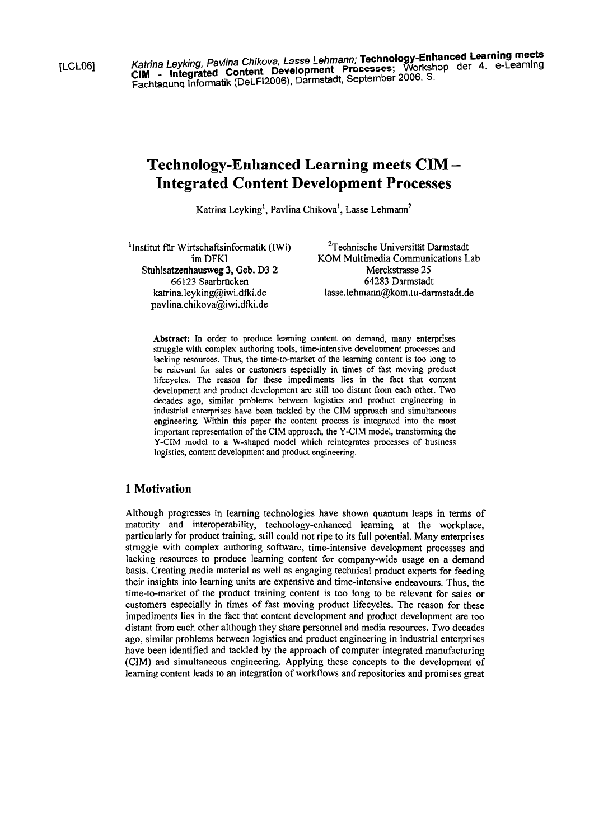[LCL06] Katrina Leyking, Pavlina Chikova, Lasse Lehmann, Technology-Enhanced Learning meets of the Magnetic Meta CIM - Integrated Content Development Processes; Woman processes; and the 4. e-Learning der 4. e-Learning der 4. e-Learning der 4. e-Learning der 4. e-Learning der 4. e-Learning der 4. e-Learning der 4. e-Learning der 4. e-**Fachtaqunq** Informatik (DeLF12006). Darmstadt. September 2006. S.

# **Technology-Enhanced Learning meets CIM** - **Integrated Content Development Processes**

Katrina Leyking<sup>1</sup>, Pavlina Chikova<sup>1</sup>, Lasse Lehmann<sup>2</sup>

<sup>1</sup>Institut für Wirtschaftsinformatik (IWi) <sup>2</sup>Technische Universität Darmstadt im DFKI KOM Multimedia Communications L Stuhlsatzenhausweg 3, Geb. D3 2

**pavlina.chikova@iwi.dfki.de** 

KOM Multimedia Communications Lab<br>Merckstrasse 25 66 123 Saarbrücken 64283 Darmstadt **katrina.leyking@iwi.dfki.de lasse.lehmann@kom.tu-darmstadt.de** 

**Abstract:** In order to produce learning content on demand, many enterprises struggle with complex authoring tools, time-intensive development processes and lacking resources. Thus, the time-to-market of the leaming content is too long to be relevant for sales or customers especially in times of fast moving product lifecycles. The reason for these impediments lies in the fact that content development and product development are still too distant from each other. Two decades ago, similar problems between logistics and product engineering in industrial enterprises have been tackled by the CIM approach and simultaneous engineering. Within this paper the content process is integrated into the most important representation of the CIM approach, the Y-CIM model, transforming the Y-CIM model to a W-shaped model which reintegrates processes of business logistics, content development and product engineering.

## **1 Motivation**

Although progresses in learning technologies have shown quantum leaps in terms of maturity and interoperability, technology-enhanced learning at the workplace, particularly for product training, still could not ripe to its full potential. Many enterprises struggle with complex authoring software, time-intensive development processes and lacking resources to produce learning content for company-wide usage on a demand basis. Creating media material as well as engaging technical product experts for feeding their insights into learning units are expensive and time-intensive endeavours. Thus, the time-to-market of the product training content is too long to be relevant for sales or customers especially in times of fast moving product lifecycles. The reason for these impediments lies in the fact that content development and product development are too distant from each other although they share personnel and media resources. Two decades ago, similar problems between logistics and product engineering in industrial enterprises have been identified and tackled by the approach of Computer integrated manufacturing (CIM) and simultaneous engineering. Applying these concepts to the development of leaming content leads to an integration of workflows and repositories and promises great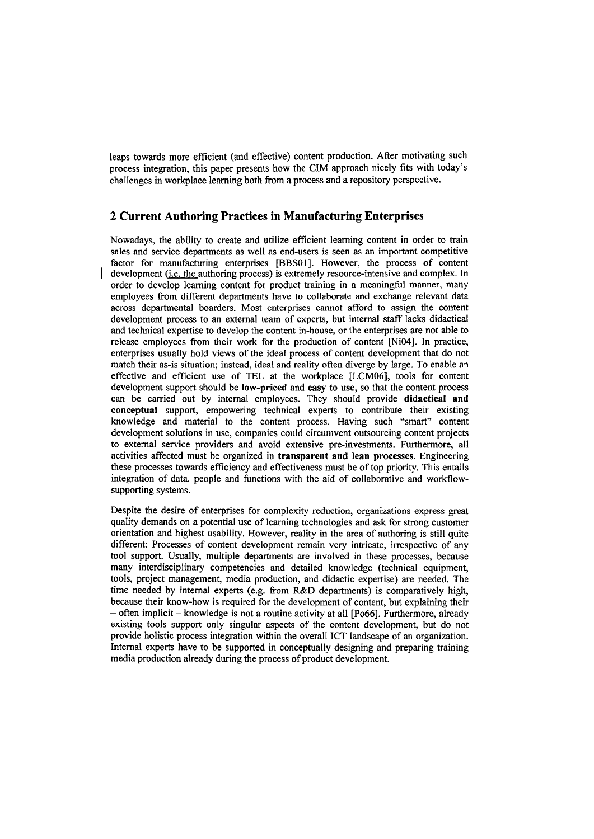leaps towards more efficient (and effective) content production. After motivating such process integration, this paper presents how the CIM approach nicely fits with today's challenges in workplace leaming both from a process and a repository perspective.

## **2 Current Authoring Practices in Manufacturing Enterprises**

Nowadays, the ability to create and utilize efficient learning content in order to train sales and service departments as well as end-users is Seen as an important competitive factor for manufacturing enterprises **[BBSOI].** However, the process of content development  $(i.e.$  the authoring process) is extremely resource-intensive and complex. In order to develop leaming content for product training in a meaningful manner, many employees fiom different departments have to collaborate and exchange relevant data across departmental boarders. Most enterprises cannot afford to assign the content development process to an external team of experts, but intemal staff lacks didactical and technical expertise to develop the content in-house, or the enterprises *are* not able to release employees from their work for the production of content [Ni04]. In practice, enterprises usually hold views of the ideal process of content development that do not match their as-is situation; instead, ideal and reality often diverge by large. To enable an effective and efficient use of TEL at the workplace [LCMOo], tools for content development support should be low-priced and easy to use, so that the content process can be carried out by internal employees. They should provide didactical and conceptual support, empowering technical experts to contribute their existing knowledge and material to the content process. Having such "smart" content development solutions in use, companies could circumvent outsourcing content projects to extemal service providers and avoid extensive pre-investments. Furthermore, all activities affected must be organized in transparent and lean processes. Engineering these processes towards efficiency and effectiveness must be of top priority. This entails integration of data, people and functions with the aid of collaborative and workflowsupporting systems.

Despite the desire of enterprises for complexity reduction, organizations express great quality demands on a potential use of learning technologies and ask for strong customer orientation and highest usability. However, reality in the area of authoring is still quite different: Processes of content development remain very intricate, irrespective of any tool support. Usually, multiple departments are involved in these processes, because many interdisciplinary competencies and detailed knowledge (technical equipment, tools, project management, media production, and didactic expertise) are needed. The time needed by intemal experts (e.g. fiom R&D departments) is comparatively high, because their know-how is required for the development of content, but explaining their - often implicit - knowledge is not a routine activity at all [Po66]. Furthermore, already existing tools support only singular aspects of the content development, but do not provide holistic process integration within the overall ICT landscape of an organization. Intemal experts have to be supported in conceptually designing and preparing training media production already during the process of product development.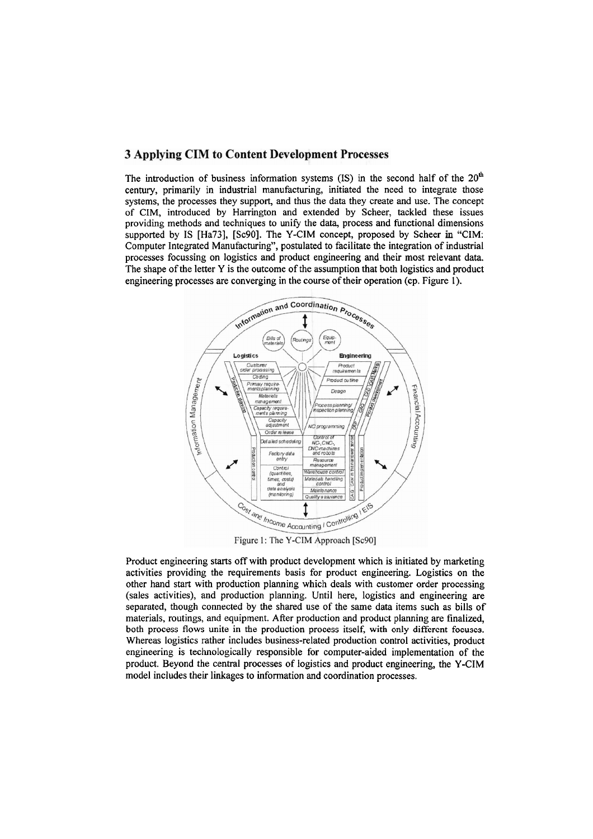### **3 Applying CIM to Content Development Processes**

engineering processes are converging in the course of their operation (cp. Figure 1). The shape of the letter Y is the outcome of the assumption that both logistics and product processes focussing on logistics and product engineering and their most relevant data. Computer Integrated Manufacturing", postulated to facilitate the integration of industrial supported by IS [Ha73], [Sc90]. The Y-CIM concept, proposed by Scheer in "CIM: providing methods and techniques to unify the data, process and functional dimensions of CIM, introduced by Harrington and extended by Scheer, tackled these issues systems, the processes they support, and thus the data they create and use. The concept century, primarily in industrial manufacturing, initiated the need to integrate those The introduction of business information systems (IS) in the second half of the  $20<sup>th</sup>$ 



Figure 1: The Y-CIM Approach [Sc90]

model includes their linkages to information and coordination processes. product. Beyond the central processes of logistics and product engineering, the Y-CIM engineering is technologically responsible for computer-aided implementation of the Whereas logistics rather includes business-related production control activities, product both process flows unite in the production process itself, with only different focuses. materials, routings, and equipment. After production and product planning are finalized. separated, though connected by the shared use of the same data items such as bills of (sales activities), and production planning. Until here, logistics and engineering are other hand start with production planning which deals with customer order processing activities providing the requirements basis for product engineering. Logistics on the Product engineering starts off with product development which is initiated by marketing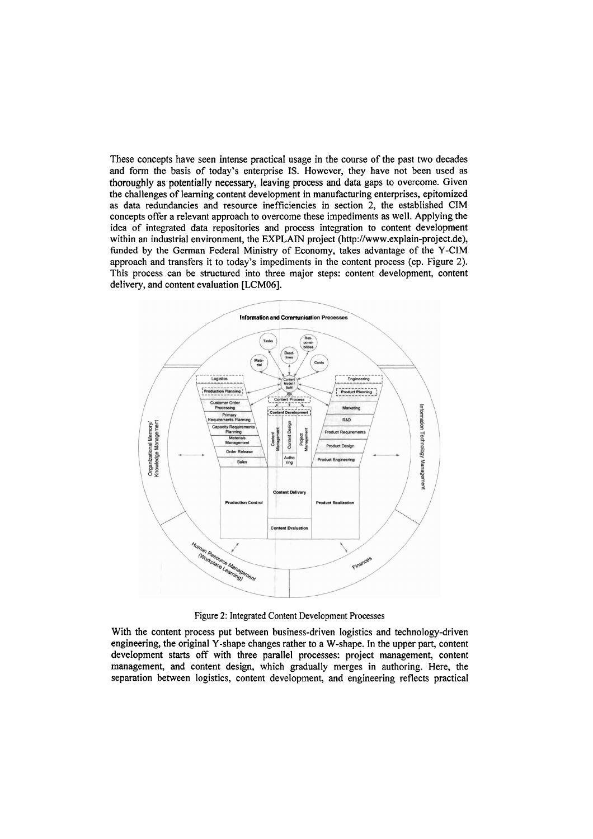These concepts have seen intense practical usage in the Course of the past two decades and form the basis of today's enterprise IS. However, they have not been used as thoroughly as potentially necessary, leaving process and data gaps to overcome. Given the challenges of learning content development in manufacturing enterprises, epitomized **as** data redundancies and resource inefficiencies in section 2, the established CIM concepts offer a relevant approach to overcome these impediments **as** well. Applying the idea of integrated data repositories and process integration to content development within an industrial environment, the EXPLAIN project (http://www.explain-project.de), funded by the German Federal Ministry of Economy, takes advantage of the Y-CIM approach and transfers it to today's impediments in the content process (cp. Figure 2). This process can be structured into three major steps: content development, content delivery, and content evaluation **[LCMOo].** 



Figure **2:** Integrated Content Development Processes

With the content process put between business-driven logistics and technology-driven engineering, the original Y-shape changes rather to a W-shape. In the upper part, content development starts off with three parallel processes: project management, content management, and content design, which gradually merges in authoring. Here, the separation between logistics, content development, and engineering reflects practical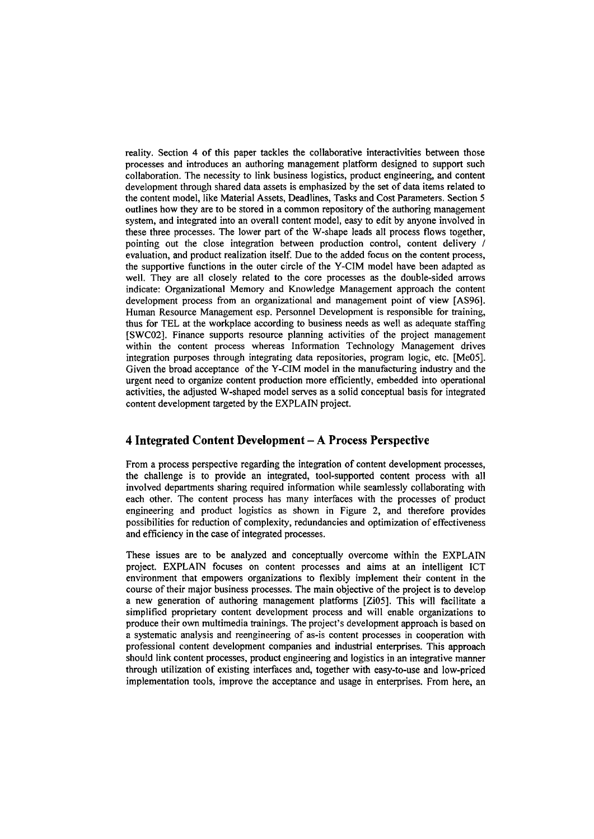reality. Section 4 of this paper tackles the collaborative interactivities between those processes and introduces an authoring management platform designed to support such collaboration. The necessiiy to link business logistics, product engineering, and content development through shared data assets is emphasized by the Set of data items related to the content model, like Material Assets, Deadlines, Tasks and Cost Parameters. Section 5 outlines how they are to be stored in a common repository of the authoring management system, and integrated into an overall content model, easy to edit by anyone involved in these three processes. The lower part of the W-shape leads all process flows together, pointing out the close integration between production control, content delivery 1 evaluation, and product realization itself. Due to the added focus on the content process, the supportive functions in the outer circle of the Y-CIM model have been adapted as well. They are all closely related to the core processes as the double-sided arrows indicate: Organizational Memory and Knowledge Management approach the content development process from an organizational and management point of view [AS96]. Human Resource Management esp. Personnel Development is responsible for training, thus for TEL at the workplace according to business needs as well as adequate staffing [SWC02]. Finance Supports resource planning activities of the project management within the content process whereas Information Technology Management drives integration purposes through integrating data repositories, program logic, etc. [Me05]. Given the broad acceptance of the Y-CIM model in the manufacturing industry and the urgent need to organize content production more efficiently, embedded into operational activities, the adjusted W-shaped model serves as a solid conceptual basis for integrated content development targeted by the EXPLAIN project.

## **4 Integrated Content Development** - **A Process Perspective**

From a process perspective regarding the integration of content development processes, the challenge is to provide an integrated, tool-supported content process with all involved departments sharing required information while seamlessly collaborating with each other. The content process has many interfaces with the processes of product engineering and product logistics as shown in Figure 2, and therefore provides possibilities for reduction of complexity, redundancies and optimization of effectiveness and efficiency in the case of integrated processes.

These issues are **to** be analyzed and conceptually overcome within the EXPLAiN project. EXPLAIN focuses on content processes and aims at an intelligent ICT environment that empowers organizations to flexibly implement their content in the Course of their major business processes. The main objective of the project is to develop a new generation of authoring management platforms [Zi05]. This will facilitate a simplified proprietary content development process and will enable organizations to produce their own multimedia trainings. The project's development approach is based on a systematic analysis and reengineering of as-is content processes in cooperation with professional content development companies and industrial enterprises. This approach shou!d link content processes, product engineering and logistics in an integrative manner through utilization of existing interfaces and, together with easy-to-use and low-priced implementation tools, improve the acceptance and usage in enterprises. From here, an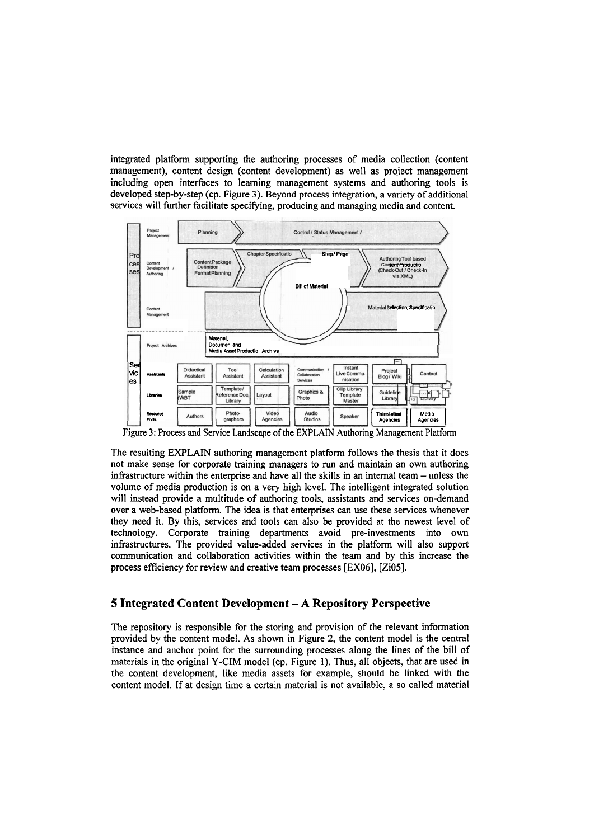integrated platform supporting the authoring processes of media collection (content management), content design (content development) as well **as** project management including open interfaces to learning management systems and authoring tools is developed step-by-step (cp. Figure **3).** Beyond process integration, a variety of additional services will further facilitate specifying, producing and managing media and content.



Figure **3:** Process and Service Landscape of the EXPLAM Authoring Management Platform

The resulting EXPLAIN authoring management platform follows the thesis that it does not make sense for corporate training managers to run and maintain an own authoring infrastructure within the enterprise and have all the skills in an internal team - unless the volume of media production is on a very high level. The intelligent integrated solution will instead provide a multitude of authoring tools, assistants and services on-demand over a web-based platform. The idea is that enterprises can use these services whenever they need it. By this, services and tools can also be provided at the newest level of technology. Corporate training departments avoid pre-investments into own infiastructures. The provided value-added services in the platform will also Support cornmunication and collaboration activities within the team and by this increase the process efficiency for review and creative team processes [EX06], [Zi05].

## **5 Integrated Content Development** - **A Repository Perspective**

The repository is responsible for the storing and provision of the relevant information provided by the content model. As shown in Figure 2, the content model is the central instance and anchor point for the surrounding processes along the lines of the bill of materials in the original Y-CIM model (cp. Figure 1). Thus, all objects, that are used in the content development, like media assets for example, should be linked with the content model. If at design time a certain material is not available, a so called material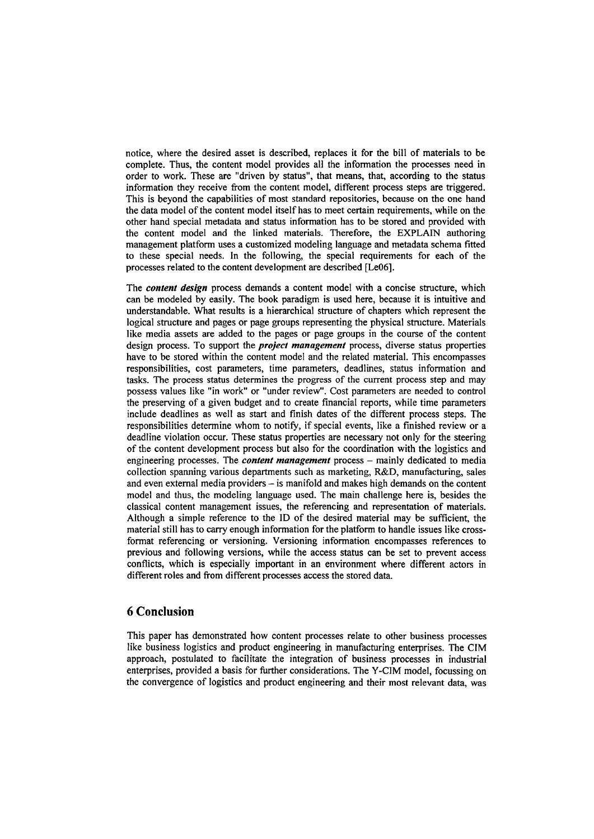notice, where the desired asset is described, replaces it for the bill of materials to be complete. Thus, the content model provides all the information the processes need in order to work. These are "driven by status", that means, that, according to the status information they receive from the content model, different process steps are triggered. This is beyond the capabilities of most standard repositories, because on the one hand the data model of the content model itself has to meet certain requirements, while on the other hand special metadata and status information has to be stored and provided with the content model and the linked materials. Therefore, the EXPLAIN authoring management platform uses a customized modeling language and metadata schema fitted to these special needs. In the following, the special requirements for each of the processes related to the content development are described [Le06].

The *confent design* process demands a content model with a concise structure, which can be modeled by easily. The book paradigm is used here, because it is intuitive and understandable. What results is a hierarchical structure of chapters which represent the logical structure and pages or page groups representing the physical structure. Materials like media assets are added to the pages or page groups in the Course of the content design process. To support the *project management* process, diverse status properties have to be stored within the content model and the related material. This encompasses responsibilities, cost parameters, time parameters, deadlines, status information and tasks. The process status determines the Progress of the current process step and may possess values like "in work" or "under review". Cost parameters are needed to control the presewing of a given budget and to create fmancial reports, while time parameters include deadlines as well as Start and finish dates of the different process steps. The responsibilities determine whom to notify, if special events, like a finished review or a deadline violation occur. These status properties are necessary not only for the steering of the content development process but also for the coordination with the logistics and engineering processes. The *content management* process - mainly dedicated to media collection spanning various departments such **as** marketing, R&D, manufacturing, sales and even external media providers - is manifold and makes high demands on the content model and thus, the modeling language used. The main challenge here is, besides the classical content management issues, the referencing and representation of materials. Although a simple reference to the ID of the desired material may be sufficient, the material still has to cany enough information for the platform to handle issues like crossformat referencing or versioning. Versioning information encompasses references to previous and following versions, while the access status can be set to prevent access conflicts, which is especially important in an environment where different actors in different roles and from different processes access the stored data.

## **6 Conclusion**

This paper has demonstrated how content processes relate to other business processes like business logistics and product engineering in manufacturing enterprises. The CIM approach, postulated to facilitate the integration of business processes in industrial enterprises, provided a basis for further considerations. The Y-CIM model, focussing on the convergence of logistics and product engineering and their most relevant data, was